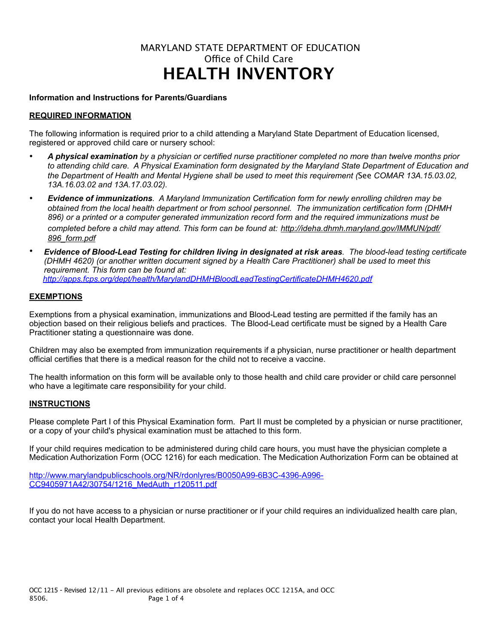# MARYLAND STATE DEPARTMENT OF EDUCATION Office of Child Care **HEALTH INVENTORY**

#### **Information and Instructions for Parents/Guardians**

#### **REQUIRED INFORMATION**

The following information is required prior to a child attending a Maryland State Department of Education licensed, registered or approved child care or nursery school:

- *A physical examination by a physician or certified nurse practitioner completed no more than twelve months prior to attending child care. A Physical Examination form designated by the Maryland State Department of Education and the Department of Health and Mental Hygiene shall be used to meet this requirement (*See *COMAR 13A.15.03.02, 13A.16.03.02 and 13A.17.03.02).*
- *Evidence of immunizations. A Maryland Immunization Certification form for newly enrolling children may be obtained from the local health department or from school personnel. The immunization certification form (DHMH 896) or a printed or a computer generated immunization record form and the required immunizations must be completed before a child may attend. This form can be found at: http://ideha.dhmh.maryland.gov/IMMUN/pdf/ 896\_form.pdf*
- *Evidence of Blood-Lead Testing for children living in designated at risk areas. The blood-lead testing certificate (DHMH 4620) (or another written document signed by a Health Care Practitioner) shall be used to meet this requirement. This form can be found at: <http://apps.fcps.org/dept/health/MarylandDHMHBloodLeadTestingCertificateDHMH4620.pdf>*

#### **EXEMPTIONS**

Exemptions from a physical examination, immunizations and Blood-Lead testing are permitted if the family has an objection based on their religious beliefs and practices. The Blood-Lead certificate must be signed by a Health Care Practitioner stating a questionnaire was done.

Children may also be exempted from immunization requirements if a physician, nurse practitioner or health department official certifies that there is a medical reason for the child not to receive a vaccine.

The health information on this form will be available only to those health and child care provider or child care personnel who have a legitimate care responsibility for your child.

#### **INSTRUCTIONS**

Please complete Part I of this Physical Examination form. Part II must be completed by a physician or nurse practitioner, or a copy of your child's physical examination must be attached to this form.

If your child requires medication to be administered during child care hours, you must have the physician complete a Medication Authorization Form (OCC 1216) for each medication. The Medication Authorization Form can be obtained at

[http://www.marylandpublicschools.org/NR/rdonlyres/B0050A99-6B3C-4396-A996-](http://www.marylandpublicschools.org/NR/rdonlyres/B0050A99-6B3C-4396-A996-CC9405971A42/30754/1216_MedAuth_r120511.pdf) [CC9405971A42/30754/1216\\_MedAuth\\_r120511.pdf](http://www.marylandpublicschools.org/NR/rdonlyres/B0050A99-6B3C-4396-A996-CC9405971A42/30754/1216_MedAuth_r120511.pdf)

If you do not have access to a physician or nurse practitioner or if your child requires an individualized health care plan, contact your local Health Department.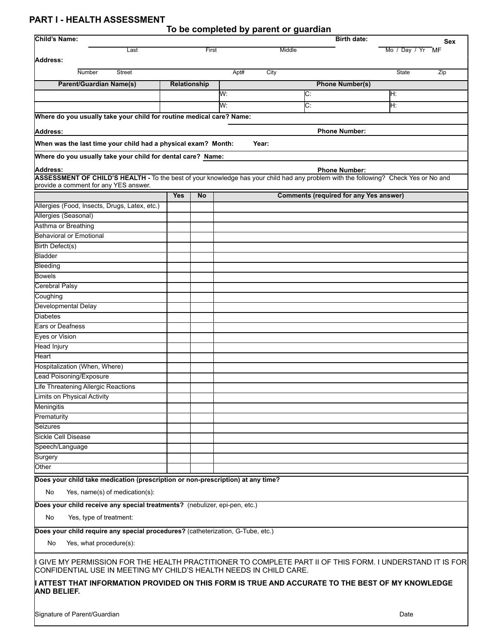## **PART I - HEALTH ASSESSMENT**

|  |  | To be completed by parent or guardian |  |  |
|--|--|---------------------------------------|--|--|
|  |  |                                       |  |  |

| Child's Name:                                                                                                                                                                                                                                                                                              |              |           |              | <b>Birth date:</b>                            | Sex              |  |  |
|------------------------------------------------------------------------------------------------------------------------------------------------------------------------------------------------------------------------------------------------------------------------------------------------------------|--------------|-----------|--------------|-----------------------------------------------|------------------|--|--|
| Last                                                                                                                                                                                                                                                                                                       |              | First     | Middle       |                                               | Mo / Day / Yr MF |  |  |
| Address:                                                                                                                                                                                                                                                                                                   |              |           |              |                                               |                  |  |  |
| Number<br><b>Street</b>                                                                                                                                                                                                                                                                                    |              |           | Apt#<br>City |                                               | State<br>Zip     |  |  |
| <b>Parent/Guardian Name(s)</b>                                                                                                                                                                                                                                                                             | Relationship |           |              | <b>Phone Number(s)</b>                        |                  |  |  |
|                                                                                                                                                                                                                                                                                                            |              |           | W:           | C:                                            | H:               |  |  |
|                                                                                                                                                                                                                                                                                                            |              |           | W:           | $\overline{\text{C}}$ :                       | H:               |  |  |
| Where do you usually take your child for routine medical care? Name:                                                                                                                                                                                                                                       |              |           |              |                                               |                  |  |  |
|                                                                                                                                                                                                                                                                                                            |              |           |              |                                               |                  |  |  |
| Address:                                                                                                                                                                                                                                                                                                   |              |           |              | <b>Phone Number:</b>                          |                  |  |  |
| When was the last time your child had a physical exam? Month:                                                                                                                                                                                                                                              |              |           | Year:        |                                               |                  |  |  |
| Where do you usually take your child for dental care? Name:                                                                                                                                                                                                                                                |              |           |              |                                               |                  |  |  |
| Address:                                                                                                                                                                                                                                                                                                   |              |           |              | <b>Phone Number:</b>                          |                  |  |  |
| ASSESSMENT OF CHILD'S HEALTH - To the best of your knowledge has your child had any problem with the following? Check Yes or No and<br>provide a comment for any YES answer.                                                                                                                               |              |           |              |                                               |                  |  |  |
|                                                                                                                                                                                                                                                                                                            | <b>Yes</b>   | <b>No</b> |              | <b>Comments (required for any Yes answer)</b> |                  |  |  |
| Allergies (Food, Insects, Drugs, Latex, etc.)                                                                                                                                                                                                                                                              |              |           |              |                                               |                  |  |  |
| Allergies (Seasonal)                                                                                                                                                                                                                                                                                       |              |           |              |                                               |                  |  |  |
| Asthma or Breathing                                                                                                                                                                                                                                                                                        |              |           |              |                                               |                  |  |  |
| <b>Behavioral or Emotional</b>                                                                                                                                                                                                                                                                             |              |           |              |                                               |                  |  |  |
| <b>Birth Defect(s)</b>                                                                                                                                                                                                                                                                                     |              |           |              |                                               |                  |  |  |
| Bladder                                                                                                                                                                                                                                                                                                    |              |           |              |                                               |                  |  |  |
| Bleeding                                                                                                                                                                                                                                                                                                   |              |           |              |                                               |                  |  |  |
| <b>Bowels</b>                                                                                                                                                                                                                                                                                              |              |           |              |                                               |                  |  |  |
| <b>Cerebral Palsy</b>                                                                                                                                                                                                                                                                                      |              |           |              |                                               |                  |  |  |
| Coughing                                                                                                                                                                                                                                                                                                   |              |           |              |                                               |                  |  |  |
| Developmental Delay                                                                                                                                                                                                                                                                                        |              |           |              |                                               |                  |  |  |
| <b>Diabetes</b>                                                                                                                                                                                                                                                                                            |              |           |              |                                               |                  |  |  |
| <b>Ears or Deafness</b>                                                                                                                                                                                                                                                                                    |              |           |              |                                               |                  |  |  |
| <b>Eyes or Vision</b>                                                                                                                                                                                                                                                                                      |              |           |              |                                               |                  |  |  |
| <b>Head Injury</b>                                                                                                                                                                                                                                                                                         |              |           |              |                                               |                  |  |  |
| Heart                                                                                                                                                                                                                                                                                                      |              |           |              |                                               |                  |  |  |
| Hospitalization (When, Where)                                                                                                                                                                                                                                                                              |              |           |              |                                               |                  |  |  |
| Lead Poisoning/Exposure                                                                                                                                                                                                                                                                                    |              |           |              |                                               |                  |  |  |
| Life Threatening Allergic Reactions                                                                                                                                                                                                                                                                        |              |           |              |                                               |                  |  |  |
| Limits on Physical Activity                                                                                                                                                                                                                                                                                |              |           |              |                                               |                  |  |  |
| Meningitis                                                                                                                                                                                                                                                                                                 |              |           |              |                                               |                  |  |  |
| Prematurity                                                                                                                                                                                                                                                                                                |              |           |              |                                               |                  |  |  |
| Seizures                                                                                                                                                                                                                                                                                                   |              |           |              |                                               |                  |  |  |
| <b>Sickle Cell Disease</b>                                                                                                                                                                                                                                                                                 |              |           |              |                                               |                  |  |  |
| Speech/Language                                                                                                                                                                                                                                                                                            |              |           |              |                                               |                  |  |  |
| Surgery                                                                                                                                                                                                                                                                                                    |              |           |              |                                               |                  |  |  |
| Other                                                                                                                                                                                                                                                                                                      |              |           |              |                                               |                  |  |  |
| Does your child take medication (prescription or non-prescription) at any time?                                                                                                                                                                                                                            |              |           |              |                                               |                  |  |  |
| Yes, name(s) of medication(s):<br>No                                                                                                                                                                                                                                                                       |              |           |              |                                               |                  |  |  |
| Does your child receive any special treatments? (nebulizer, epi-pen, etc.)                                                                                                                                                                                                                                 |              |           |              |                                               |                  |  |  |
| No<br>Yes, type of treatment:                                                                                                                                                                                                                                                                              |              |           |              |                                               |                  |  |  |
| Does your child require any special procedures? (catheterization, G-Tube, etc.)                                                                                                                                                                                                                            |              |           |              |                                               |                  |  |  |
| Yes, what procedure(s):<br>No.                                                                                                                                                                                                                                                                             |              |           |              |                                               |                  |  |  |
| ll GIVE MY PERMISSION FOR THE HEALTH PRACTITIONER TO COMPLETE PART II OF THIS FORM. I UNDERSTAND IT IS FOR<br>CONFIDENTIAL USE IN MEETING MY CHILD'S HEALTH NEEDS IN CHILD CARE.<br>I ATTEST THAT INFORMATION PROVIDED ON THIS FORM IS TRUE AND ACCURATE TO THE BEST OF MY KNOWLEDGE<br><b>AND BELIEF.</b> |              |           |              |                                               |                  |  |  |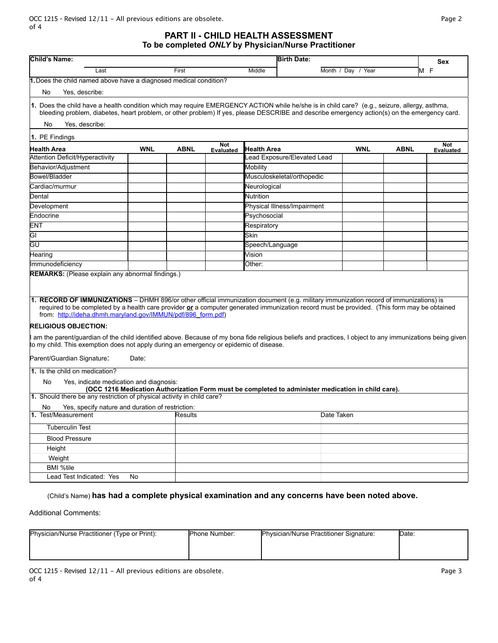**PART II - CHILD HEALTH ASSESSMENT To be completed** *ONLY* **by Physician/Nurse Practitioner**

| Child's Name:                                                                                                                                                                                                                                                                                                                                        |       |             |                  | <b>Birth Date:</b>                                                                            |                    |             | Sex              |  |
|------------------------------------------------------------------------------------------------------------------------------------------------------------------------------------------------------------------------------------------------------------------------------------------------------------------------------------------------------|-------|-------------|------------------|-----------------------------------------------------------------------------------------------|--------------------|-------------|------------------|--|
| Last                                                                                                                                                                                                                                                                                                                                                 |       | First       |                  | Middle                                                                                        | Month / Day / Year |             | M F              |  |
| 1. Does the child named above have a diagnosed medical condition?                                                                                                                                                                                                                                                                                    |       |             |                  |                                                                                               |                    |             |                  |  |
| Yes, describe:<br>No                                                                                                                                                                                                                                                                                                                                 |       |             |                  |                                                                                               |                    |             |                  |  |
|                                                                                                                                                                                                                                                                                                                                                      |       |             |                  |                                                                                               |                    |             |                  |  |
| 1. Does the child have a health condition which may require EMERGENCY ACTION while he/she is in child care? (e.g., seizure, allergy, asthma,<br>bleeding problem, diabetes, heart problem, or other problem) If yes, please DESCRIBE and describe emergency action(s) on the emergency card.                                                         |       |             |                  |                                                                                               |                    |             |                  |  |
| No<br>Yes, describe:                                                                                                                                                                                                                                                                                                                                 |       |             |                  |                                                                                               |                    |             |                  |  |
|                                                                                                                                                                                                                                                                                                                                                      |       |             |                  |                                                                                               |                    |             |                  |  |
| 1. PE Findings<br>Not<br><b>Not</b>                                                                                                                                                                                                                                                                                                                  |       |             |                  |                                                                                               |                    |             |                  |  |
| <b>Health Area</b><br><b>Attention Deficit/Hyperactivity</b>                                                                                                                                                                                                                                                                                         | WNL   | <b>ABNL</b> | <b>Evaluated</b> | Health Area<br>Lead Exposure/Elevated Lead                                                    | <b>WNL</b>         | <b>ABNL</b> | <b>Evaluated</b> |  |
|                                                                                                                                                                                                                                                                                                                                                      |       |             |                  |                                                                                               |                    |             |                  |  |
| Behavior/Adjustment                                                                                                                                                                                                                                                                                                                                  |       |             |                  | Mobility                                                                                      |                    |             |                  |  |
| Bowel/Bladder                                                                                                                                                                                                                                                                                                                                        |       |             |                  | Musculoskeletal/orthopedic                                                                    |                    |             |                  |  |
| Cardiac/murmur                                                                                                                                                                                                                                                                                                                                       |       |             |                  | Neurological                                                                                  |                    |             |                  |  |
| Dental                                                                                                                                                                                                                                                                                                                                               |       |             |                  | Nutrition                                                                                     |                    |             |                  |  |
| Development                                                                                                                                                                                                                                                                                                                                          |       |             |                  | Physical Illness/Impairment                                                                   |                    |             |                  |  |
| Endocrine                                                                                                                                                                                                                                                                                                                                            |       |             |                  | Psychosocial                                                                                  |                    |             |                  |  |
| <b>ENT</b>                                                                                                                                                                                                                                                                                                                                           |       |             |                  | Respiratory                                                                                   |                    |             |                  |  |
| GI                                                                                                                                                                                                                                                                                                                                                   |       |             |                  | lSkin                                                                                         |                    |             |                  |  |
| GU                                                                                                                                                                                                                                                                                                                                                   |       |             |                  | Speech/Language                                                                               |                    |             |                  |  |
| Hearing                                                                                                                                                                                                                                                                                                                                              |       |             |                  | Vision                                                                                        |                    |             |                  |  |
| Immunodeficiency<br><b>REMARKS:</b> (Please explain any abnormal findings.)                                                                                                                                                                                                                                                                          |       |             |                  | Other:                                                                                        |                    |             |                  |  |
| 1. RECORD OF IMMUNIZATIONS - DHMH 896/or other official immunization document (e.g. military immunization record of immunizations) is<br>required to be completed by a health care provider or a computer generated immunization record must be provided. (This form may be obtained<br>from: http://ideha.dhmh.maryland.gov/IMMUN/pdf/896 form.pdf) |       |             |                  |                                                                                               |                    |             |                  |  |
| <b>RELIGIOUS OBJECTION:</b>                                                                                                                                                                                                                                                                                                                          |       |             |                  |                                                                                               |                    |             |                  |  |
| am the parent/guardian of the child identified above. Because of my bona fide religious beliefs and practices, I object to any immunizations being given                                                                                                                                                                                             |       |             |                  |                                                                                               |                    |             |                  |  |
| to my child. This exemption does not apply during an emergency or epidemic of disease.                                                                                                                                                                                                                                                               |       |             |                  |                                                                                               |                    |             |                  |  |
| Parent/Guardian Signature:                                                                                                                                                                                                                                                                                                                           | Date: |             |                  |                                                                                               |                    |             |                  |  |
| 1. Is the child on medication?                                                                                                                                                                                                                                                                                                                       |       |             |                  |                                                                                               |                    |             |                  |  |
| No<br>Yes, indicate medication and diagnosis:<br>(OCC 1216 Medication Authorization Form must be completed to administer medication in child care).                                                                                                                                                                                                  |       |             |                  |                                                                                               |                    |             |                  |  |
| 1. Should there be any restriction of physical activity in child care?                                                                                                                                                                                                                                                                               |       |             |                  |                                                                                               |                    |             |                  |  |
| Yes, specify nature and duration of restriction:<br>No                                                                                                                                                                                                                                                                                               |       |             |                  |                                                                                               |                    |             |                  |  |
| 1. Test/Measurement                                                                                                                                                                                                                                                                                                                                  |       | Results     |                  |                                                                                               | Date Taken         |             |                  |  |
| <b>Tuberculin Test</b>                                                                                                                                                                                                                                                                                                                               |       |             |                  |                                                                                               |                    |             |                  |  |
| <b>Blood Pressure</b>                                                                                                                                                                                                                                                                                                                                |       |             |                  |                                                                                               |                    |             |                  |  |
| Height                                                                                                                                                                                                                                                                                                                                               |       |             |                  |                                                                                               |                    |             |                  |  |
| Weight                                                                                                                                                                                                                                                                                                                                               |       |             |                  |                                                                                               |                    |             |                  |  |
| <b>BMI %tile</b>                                                                                                                                                                                                                                                                                                                                     |       |             |                  |                                                                                               |                    |             |                  |  |
| Lead Test Indicated: Yes                                                                                                                                                                                                                                                                                                                             | No    |             |                  |                                                                                               |                    |             |                  |  |
|                                                                                                                                                                                                                                                                                                                                                      |       |             |                  | Child's Name) has head a complete physical examination and any concerns have been noted above |                    |             |                  |  |

(Child's Name) **has had a complete physical examination and any concerns have been noted above.**

Additional Comments:

| Physician/Nurse Practitioner (Type or Print): | <b>IPhone Number:</b> | Physician/Nurse Practitioner Signature: | lDate: |
|-----------------------------------------------|-----------------------|-----------------------------------------|--------|
|                                               |                       |                                         |        |
|                                               |                       |                                         |        |
|                                               |                       |                                         |        |

| OCC 1215 - Revised 12/11 - All previous editions are obsolete. | Page 3 |
|----------------------------------------------------------------|--------|
| of 4                                                           |        |